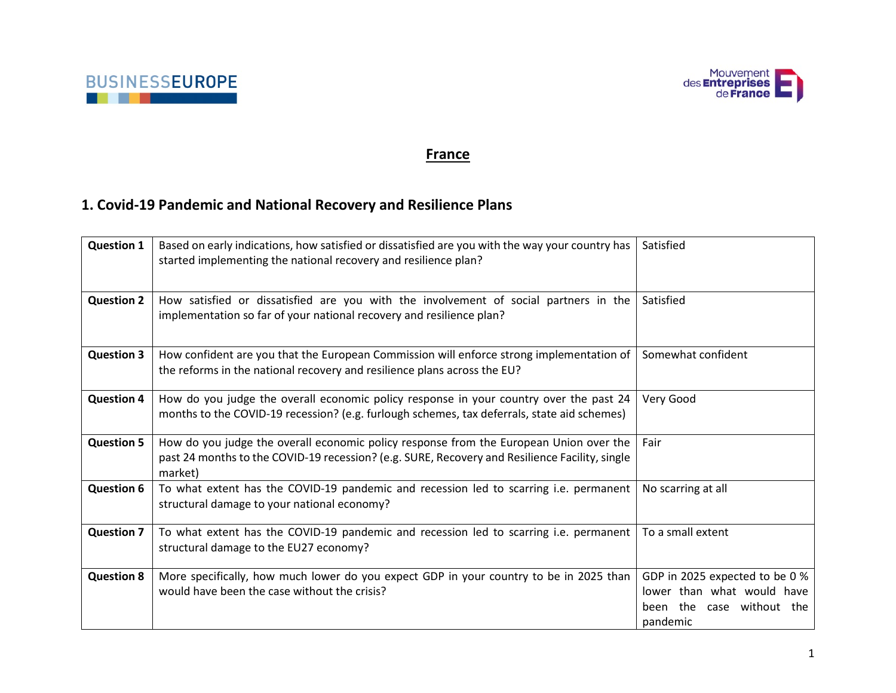



#### **France**

# **1. Covid-19 Pandemic and National Recovery and Resilience Plans**

| <b>Question 1</b> | Based on early indications, how satisfied or dissatisfied are you with the way your country has<br>started implementing the national recovery and resilience plan?                                  | Satisfied                                                                                             |
|-------------------|-----------------------------------------------------------------------------------------------------------------------------------------------------------------------------------------------------|-------------------------------------------------------------------------------------------------------|
| <b>Question 2</b> | How satisfied or dissatisfied are you with the involvement of social partners in the<br>implementation so far of your national recovery and resilience plan?                                        | Satisfied                                                                                             |
| <b>Question 3</b> | How confident are you that the European Commission will enforce strong implementation of<br>the reforms in the national recovery and resilience plans across the EU?                                | Somewhat confident                                                                                    |
| <b>Question 4</b> | How do you judge the overall economic policy response in your country over the past 24<br>months to the COVID-19 recession? (e.g. furlough schemes, tax deferrals, state aid schemes)               | Very Good                                                                                             |
| <b>Question 5</b> | How do you judge the overall economic policy response from the European Union over the<br>past 24 months to the COVID-19 recession? (e.g. SURE, Recovery and Resilience Facility, single<br>market) | Fair                                                                                                  |
| <b>Question 6</b> | To what extent has the COVID-19 pandemic and recession led to scarring i.e. permanent<br>structural damage to your national economy?                                                                | No scarring at all                                                                                    |
| <b>Question 7</b> | To what extent has the COVID-19 pandemic and recession led to scarring i.e. permanent<br>structural damage to the EU27 economy?                                                                     | To a small extent                                                                                     |
| <b>Question 8</b> | More specifically, how much lower do you expect GDP in your country to be in 2025 than<br>would have been the case without the crisis?                                                              | GDP in 2025 expected to be 0 %<br>lower than what would have<br>been the case without the<br>pandemic |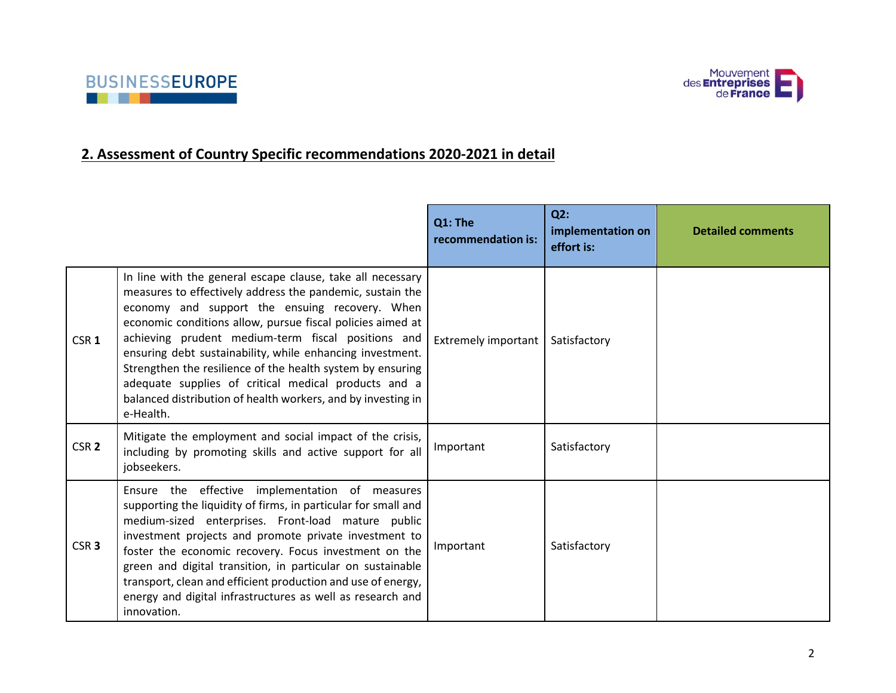



### **2. Assessment of Country Specific recommendations 2020-2021 in detail**

|                  |                                                                                                                                                                                                                                                                                                                                                                                                                                                                                                                                                               | Q1: The<br>recommendation is: | Q2:<br>implementation on<br>effort is: | <b>Detailed comments</b> |
|------------------|---------------------------------------------------------------------------------------------------------------------------------------------------------------------------------------------------------------------------------------------------------------------------------------------------------------------------------------------------------------------------------------------------------------------------------------------------------------------------------------------------------------------------------------------------------------|-------------------------------|----------------------------------------|--------------------------|
| CSR <sub>1</sub> | In line with the general escape clause, take all necessary<br>measures to effectively address the pandemic, sustain the<br>economy and support the ensuing recovery. When<br>economic conditions allow, pursue fiscal policies aimed at<br>achieving prudent medium-term fiscal positions and<br>ensuring debt sustainability, while enhancing investment.<br>Strengthen the resilience of the health system by ensuring<br>adequate supplies of critical medical products and a<br>balanced distribution of health workers, and by investing in<br>e-Health. | Extremely important           | Satisfactory                           |                          |
| CSR <sub>2</sub> | Mitigate the employment and social impact of the crisis,<br>including by promoting skills and active support for all<br>jobseekers.                                                                                                                                                                                                                                                                                                                                                                                                                           | Important                     | Satisfactory                           |                          |
| CSR <sub>3</sub> | Ensure the effective implementation of measures<br>supporting the liquidity of firms, in particular for small and<br>medium-sized enterprises. Front-load mature public<br>investment projects and promote private investment to<br>foster the economic recovery. Focus investment on the<br>green and digital transition, in particular on sustainable<br>transport, clean and efficient production and use of energy,<br>energy and digital infrastructures as well as research and<br>innovation.                                                          | Important                     | Satisfactory                           |                          |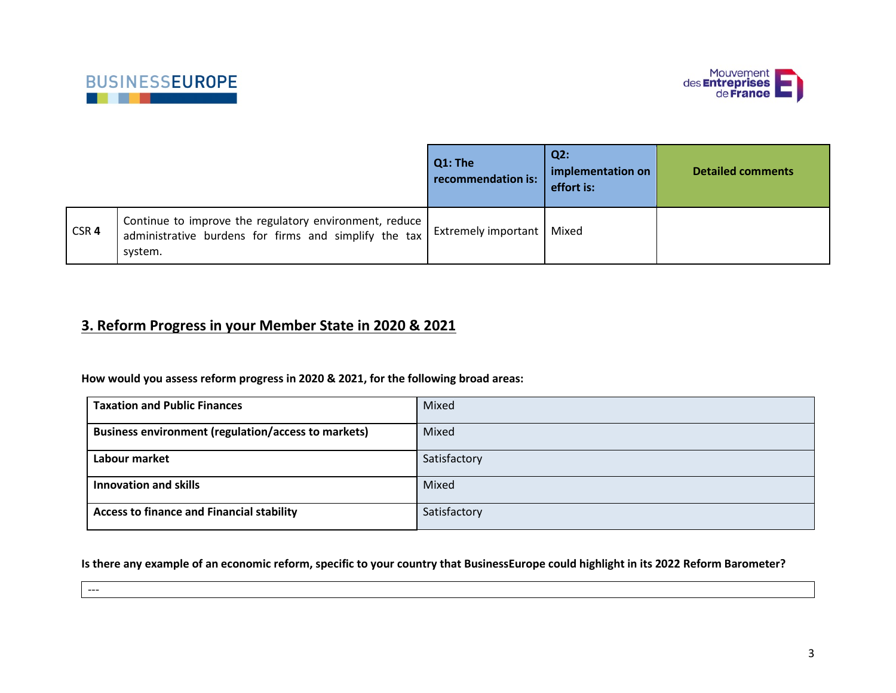

---



|                  |                                                                                                                              | Q1: The<br>recommendation is: | $Q2$ :<br>implementation on<br>effort is: | <b>Detailed comments</b> |
|------------------|------------------------------------------------------------------------------------------------------------------------------|-------------------------------|-------------------------------------------|--------------------------|
| CSR <sub>4</sub> | Continue to improve the regulatory environment, reduce  <br>administrative burdens for firms and simplify the tax<br>system. | Extremely important   Mixed   |                                           |                          |

#### **3. Reform Progress in your Member State in 2020 & 2021**

**How would you assess reform progress in 2020 & 2021, for the following broad areas:**

| <b>Taxation and Public Finances</b>                        | Mixed        |
|------------------------------------------------------------|--------------|
| <b>Business environment (regulation/access to markets)</b> | Mixed        |
| Labour market                                              | Satisfactory |
| <b>Innovation and skills</b>                               | Mixed        |
| <b>Access to finance and Financial stability</b>           | Satisfactory |

**Is there any example of an economic reform, specific to your country that BusinessEurope could highlight in its 2022 Reform Barometer?**